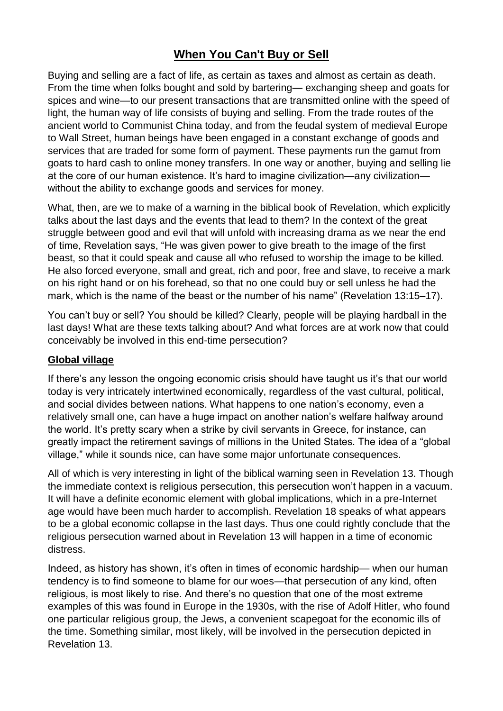# **When You Can't Buy or Sell**

Buying and selling are a fact of life, as certain as taxes and almost as certain as death. From the time when folks bought and sold by bartering— exchanging sheep and goats for spices and wine—to our present transactions that are transmitted online with the speed of light, the human way of life consists of buying and selling. From the trade routes of the ancient world to Communist China today, and from the feudal system of medieval Europe to Wall Street, human beings have been engaged in a constant exchange of goods and services that are traded for some form of payment. These payments run the gamut from goats to hard cash to online money transfers. In one way or another, buying and selling lie at the core of our human existence. It's hard to imagine civilization—any civilization without the ability to exchange goods and services for money.

What, then, are we to make of a warning in the biblical book of Revelation, which explicitly talks about the last days and the events that lead to them? In the context of the great struggle between good and evil that will unfold with increasing drama as we near the end of time, Revelation says, "He was given power to give breath to the image of the first beast, so that it could speak and cause all who refused to worship the image to be killed. He also forced everyone, small and great, rich and poor, free and slave, to receive a mark on his right hand or on his forehead, so that no one could buy or sell unless he had the mark, which is the name of the beast or the number of his name" (Revelation 13:15–17).

You can't buy or sell? You should be killed? Clearly, people will be playing hardball in the last days! What are these texts talking about? And what forces are at work now that could conceivably be involved in this end-time persecution?

### **Global village**

If there's any lesson the ongoing economic crisis should have taught us it's that our world today is very intricately intertwined economically, regardless of the vast cultural, political, and social divides between nations. What happens to one nation's economy, even a relatively small one, can have a huge impact on another nation's welfare halfway around the world. It's pretty scary when a strike by civil servants in Greece, for instance, can greatly impact the retirement savings of millions in the United States. The idea of a "global village," while it sounds nice, can have some major unfortunate consequences.

All of which is very interesting in light of the biblical warning seen in Revelation 13. Though the immediate context is religious persecution, this persecution won't happen in a vacuum. It will have a definite economic element with global implications, which in a pre-Internet age would have been much harder to accomplish. Revelation 18 speaks of what appears to be a global economic collapse in the last days. Thus one could rightly conclude that the religious persecution warned about in Revelation 13 will happen in a time of economic distress.

Indeed, as history has shown, it's often in times of economic hardship— when our human tendency is to find someone to blame for our woes—that persecution of any kind, often religious, is most likely to rise. And there's no question that one of the most extreme examples of this was found in Europe in the 1930s, with the rise of Adolf Hitler, who found one particular religious group, the Jews, a convenient scapegoat for the economic ills of the time. Something similar, most likely, will be involved in the persecution depicted in Revelation 13.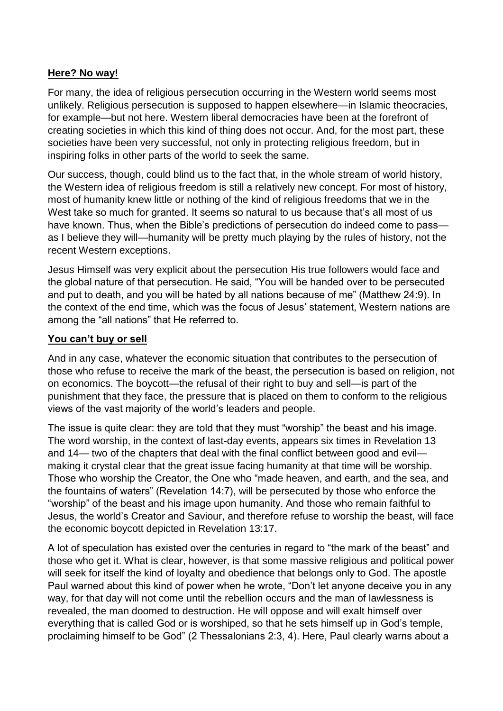### **Here? No way!**

For many, the idea of religious persecution occurring in the Western world seems most unlikely. Religious persecution is supposed to happen elsewhere—in Islamic theocracies, for example—but not here. Western liberal democracies have been at the forefront of creating societies in which this kind of thing does not occur. And, for the most part, these societies have been very successful, not only in protecting religious freedom, but in inspiring folks in other parts of the world to seek the same.

Our success, though, could blind us to the fact that, in the whole stream of world history, the Western idea of religious freedom is still a relatively new concept. For most of history, most of humanity knew little or nothing of the kind of religious freedoms that we in the West take so much for granted. It seems so natural to us because that's all most of us have known. Thus, when the Bible's predictions of persecution do indeed come to pass as I believe they will—humanity will be pretty much playing by the rules of history, not the recent Western exceptions.

Jesus Himself was very explicit about the persecution His true followers would face and the global nature of that persecution. He said, "You will be handed over to be persecuted and put to death, and you will be hated by all nations because of me" (Matthew 24:9). In the context of the end time, which was the focus of Jesus' statement, Western nations are among the "all nations" that He referred to.

#### **You can't buy or sell**

And in any case, whatever the economic situation that contributes to the persecution of those who refuse to receive the mark of the beast, the persecution is based on religion, not on economics. The boycott—the refusal of their right to buy and sell—is part of the punishment that they face, the pressure that is placed on them to conform to the religious views of the vast majority of the world's leaders and people.

The issue is quite clear: they are told that they must "worship" the beast and his image. The word worship, in the context of last-day events, appears six times in Revelation 13 and 14— two of the chapters that deal with the final conflict between good and evil making it crystal clear that the great issue facing humanity at that time will be worship. Those who worship the Creator, the One who "made heaven, and earth, and the sea, and the fountains of waters" (Revelation 14:7), will be persecuted by those who enforce the "worship" of the beast and his image upon humanity. And those who remain faithful to Jesus, the world's Creator and Saviour, and therefore refuse to worship the beast, will face the economic boycott depicted in Revelation 13:17.

A lot of speculation has existed over the centuries in regard to "the mark of the beast" and those who get it. What is clear, however, is that some massive religious and political power will seek for itself the kind of loyalty and obedience that belongs only to God. The apostle Paul warned about this kind of power when he wrote, "Don't let anyone deceive you in any way, for that day will not come until the rebellion occurs and the man of lawlessness is revealed, the man doomed to destruction. He will oppose and will exalt himself over everything that is called God or is worshiped, so that he sets himself up in God's temple, proclaiming himself to be God" (2 Thessalonians 2:3, 4). Here, Paul clearly warns about a